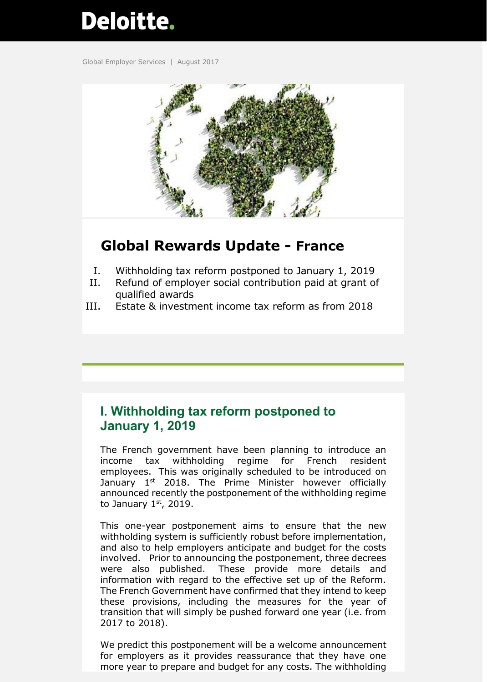# Deloitte.

Global Employer Services | August 2017



# **Global Rewards Update - France**

- I. Withholding tax reform postponed to January 1, 2019
- II. Refund of employer social contribution paid at grant of qualified awards
- III. Estate & investment income tax reform as from 2018

## **I. Withholding tax reform postponed to January 1, 2019**

The French government have been planning to introduce an income tax withholding regime for French resident employees. This was originally scheduled to be introduced on January 1<sup>st</sup> 2018. The Prime Minister however officially announced recently the postponement of the withholding regime to January  $1<sup>st</sup>$ , 2019.

This one-year postponement aims to ensure that the new withholding system is sufficiently robust before implementation, and also to help employers anticipate and budget for the costs involved. Prior to announcing the postponement, three decrees were also published. These provide more details and information with regard to the effective set up of the Reform. The French Government have confirmed that they intend to keep these provisions, including the measures for the year of transition that will simply be pushed forward one year (i.e. from 2017 to 2018).

We predict this postponement will be a welcome announcement for employers as it provides reassurance that they have one more year to prepare and budget for any costs. The withholding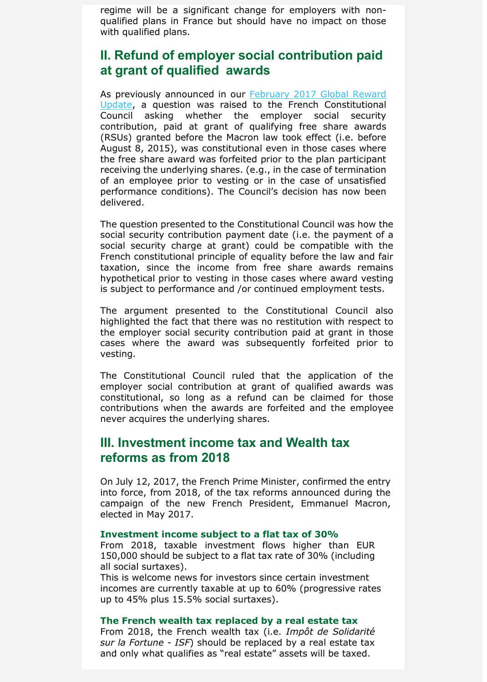regime will be a significant change for employers with nonqualified plans in France but should have no impact on those with qualified plans.

### **II. Refund of employer social contribution paid at grant of qualified awards**

As previously announced in our [February 2017 Global Reward](https://www2.deloitte.com/content/dam/Deloitte/global/Documents/Tax/dttl-tax-global-rewards-update-france-28-february-2017.pdf)  [Update,](https://www2.deloitte.com/content/dam/Deloitte/global/Documents/Tax/dttl-tax-global-rewards-update-france-28-february-2017.pdf) a question was raised to the French Constitutional Council asking whether the employer social security contribution, paid at grant of qualifying free share awards (RSUs) granted before the Macron law took effect (i.e. before August 8, 2015), was constitutional even in those cases where the free share award was forfeited prior to the plan participant receiving the underlying shares. (e.g., in the case of termination of an employee prior to vesting or in the case of unsatisfied performance conditions). The Council's decision has now been delivered.

The question presented to the Constitutional Council was how the social security contribution payment date (i.e. the payment of a social security charge at grant) could be compatible with the French constitutional principle of equality before the law and fair taxation, since the income from free share awards remains hypothetical prior to vesting in those cases where award vesting is subject to performance and /or continued employment tests.

The argument presented to the Constitutional Council also highlighted the fact that there was no restitution with respect to the employer social security contribution paid at grant in those cases where the award was subsequently forfeited prior to vesting.

The Constitutional Council ruled that the application of the employer social contribution at grant of qualified awards was constitutional, so long as a refund can be claimed for those contributions when the awards are forfeited and the employee never acquires the underlying shares.

#### **III. Investment income tax and Wealth tax reforms as from 2018**

On July 12, 2017, the French Prime Minister, confirmed the entry into force, from 2018, of the tax reforms announced during the campaign of the new French President, Emmanuel Macron, elected in May 2017.

#### **Investment income subject to a flat tax of 30%**

From 2018, taxable investment flows higher than EUR 150,000 should be subject to a flat tax rate of 30% (including all social surtaxes).

This is welcome news for investors since certain investment incomes are currently taxable at up to 60% (progressive rates up to 45% plus 15.5% social surtaxes).

#### **The French wealth tax replaced by a real estate tax**

From 2018, the French wealth tax (i.e. *Impôt de Solidarité sur la Fortune - ISF*) should be replaced by a real estate tax and only what qualifies as "real estate" assets will be taxed.